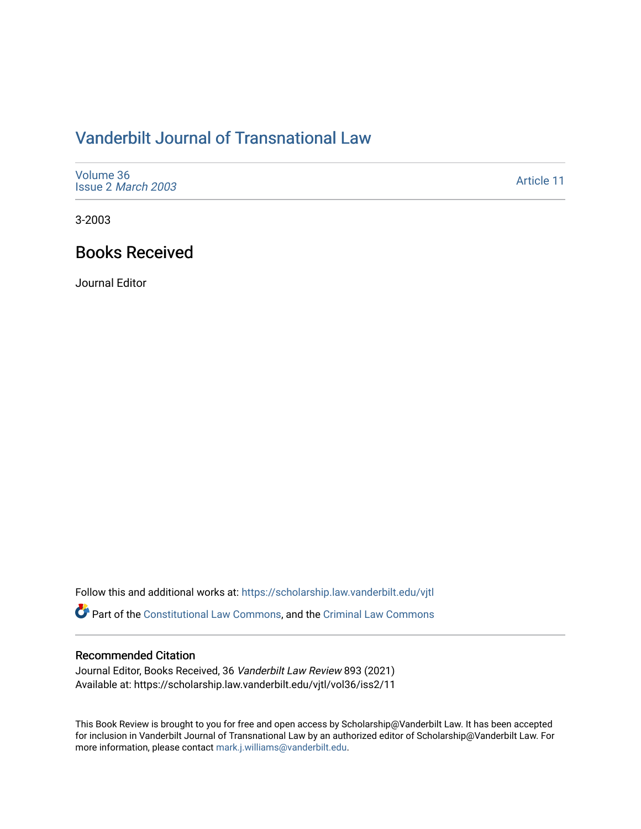## [Vanderbilt Journal of Transnational Law](https://scholarship.law.vanderbilt.edu/vjtl)

| Volume 36<br>Issue 2 March 2003 | Article 11 |
|---------------------------------|------------|
|---------------------------------|------------|

3-2003

## Books Received

Journal Editor

Follow this and additional works at: [https://scholarship.law.vanderbilt.edu/vjtl](https://scholarship.law.vanderbilt.edu/vjtl?utm_source=scholarship.law.vanderbilt.edu%2Fvjtl%2Fvol36%2Fiss2%2F11&utm_medium=PDF&utm_campaign=PDFCoverPages) 

Part of the [Constitutional Law Commons,](http://network.bepress.com/hgg/discipline/589?utm_source=scholarship.law.vanderbilt.edu%2Fvjtl%2Fvol36%2Fiss2%2F11&utm_medium=PDF&utm_campaign=PDFCoverPages) and the [Criminal Law Commons](http://network.bepress.com/hgg/discipline/912?utm_source=scholarship.law.vanderbilt.edu%2Fvjtl%2Fvol36%2Fiss2%2F11&utm_medium=PDF&utm_campaign=PDFCoverPages)

## Recommended Citation

Journal Editor, Books Received, 36 Vanderbilt Law Review 893 (2021) Available at: https://scholarship.law.vanderbilt.edu/vjtl/vol36/iss2/11

This Book Review is brought to you for free and open access by Scholarship@Vanderbilt Law. It has been accepted for inclusion in Vanderbilt Journal of Transnational Law by an authorized editor of Scholarship@Vanderbilt Law. For more information, please contact [mark.j.williams@vanderbilt.edu](mailto:mark.j.williams@vanderbilt.edu).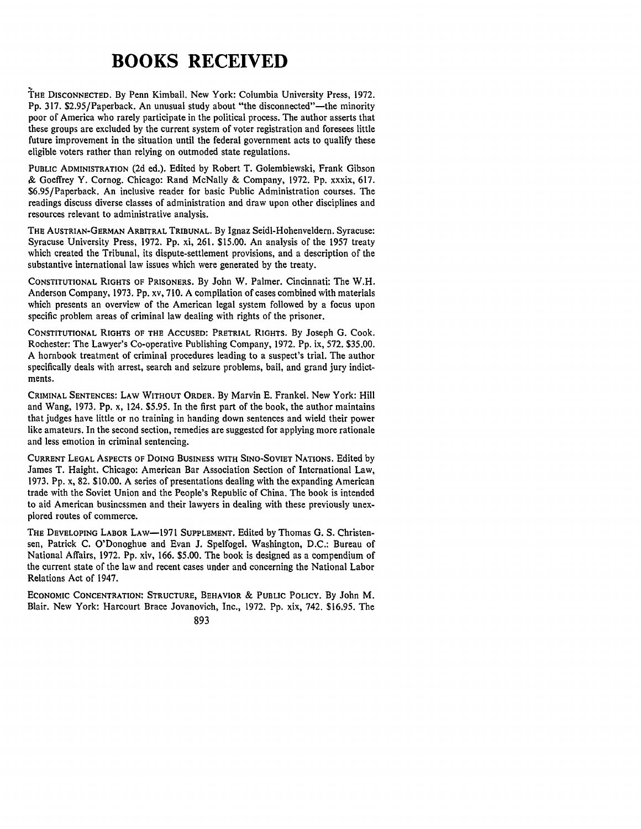## **BOOKS RECEIVED**

**THE DISCONNECTED. By** Penn Kimball. New York: Columbia University Press, **1972.** Pp. 317. \$2.95/Paperback. An unusual study about "the disconnected"—the minority poor of America who rarely participate in the political process. The author asserts that these groups are excluded **by** the current system of voter registration and foresees little future improvement in the situation until the federal government acts to qualify these eligible voters rather than relying on outmoded state regulations.

**PUBLIC ADMINISTRATION (2d** ed.). Edited **by** Robert T. Golembiewski, Frank Gibson **&** Goeffrey Y. Cornog. Chicago: Rand McNally **&** Company, **1972. Pp.** xxxix, **617.** \$6.95/Paperback. An inclusive reader for basic Public Administration courses. The readings discuss diverse classes of administration and draw upon other disciplines and resources relevant to administrative analysis.

THE **AUSTRIAN-GERMAN ARBITRAL TRIBUNAL. By** Ignaz Seidl-Hohenveldern. Syracuse: Syracuse University Press, **1972. Pp.** xi, **261. \$15.00.** An analysis of the 1957 treaty which created the Tribunal, its dispute-settlement provisions, and a description of the substantive international law issues which were generated **by** the treaty.

**CONSTITUTIONAL** RIGHTS **OF PRISONERS. By** John W. Palmer. Cincinnati: The W.H. Anderson Company, **1973.** Pp. xv, **710.** A compilation of cases combined with materials which presents an overview of the American legal system followed **by** a focus upon specific problem areas of criminal law dealing with rights of the prisoner.

**CONSTITUTIONAL** RIGHTS OF **THE** ACCUSED: PRETRIAL RIGHTS. **By** Joseph **G.** Cook. Rochester: The Lawyer's Co-operative Publishing Company, 1972. **Pp.** ix, 572. \$35.00. A hornbook treatment of criminal procedures leading to a suspect's trial. The author specifically deals with arrest, search and seizure problems, bail, and grand jury indictments.

CRIMINAL **SENTENCES:** LAW WITHOUT ORDER. **By** Marvin **E.** Frankel. New York: Hill and Wang, **1973. Pp.** x, 124. \$5.95. In the first part of the book, the author maintains that judges have little or no training in handing down sentences and wield their power like amateurs. In the second section, remedies are suggested for applying more rationale and less emotion in criminal sentencing.

**CURRENT LEGAL ASPECTS OF DOING BUSINESS WITH SINO-SOVIET NATIONS.** Edited by James T. Haight. Chicago: American Bar Association Section of International Law, **1973.** Pp. x, **82.** \$10.00. A series of presentations dealing with the expanding American trade with the Soviet Union and the People's Republic of China. The book is intended to aid American businessmen and their lawyers in dealing with these previously unexplored routes of commerce.

**THE DEVELOPING** LABOR LAW-1971 **SUPPLEMENT.** Edited **by** Thomas **G. S.** Christensen, Patrick **C.** O'Donoghue and Evan **J.** Spelfogel. Washington, **D.C.:** Bureau of National Affairs, **1972. Pp.** xiv, **166. \$5.00.** The book is designed as a compendium of the current state of the law and recent cases under and concerning the National Labor Relations Act of 1947.

**ECONOMIC CONCENTRATION: STRUCTURE,** BEHAVIOR & **PUBLIC POLICY. By** John M. Blair. New York: Harcourt Brace Jovanovich, Inc., 1972. **Pp.** xix, 742. \$16.95. The

**893**